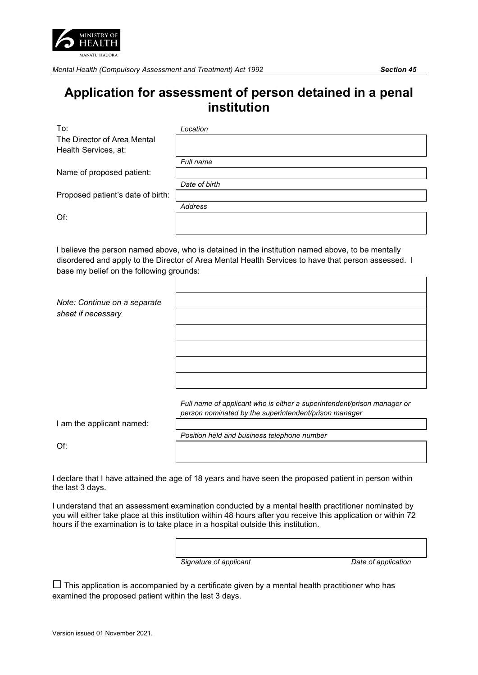

*Mental Health (Compulsory Assessment and Treatment) Act 1992 Section 45*

## **Application for assessment of person detained in a penal institution**

To: *Location*

The Director of Area Mental Health Services, at:

*Full name*

Name of proposed patient:

*Address*

Proposed patient's date of birth:

Of:

I believe the person named above, who is detained in the institution named above, to be mentally disordered and apply to the Director of Area Mental Health Services to have that person assessed. I base my belief on the following grounds:

*Note: Continue on a separate sheet if necessary*

> *Full name of applicant who is either a superintendent/prison manager or person nominated by the superintendent/prison manager*

I am the applicant named:

*Position held and business telephone number*

Of:

I declare that I have attained the age of 18 years and have seen the proposed patient in person within the last 3 days.

I understand that an assessment examination conducted by a mental health practitioner nominated by you will either take place at this institution within 48 hours after you receive this application or within 72 hours if the examination is to take place in a hospital outside this institution.

> *Signature of applicant Date of application*

 $\Box$  This application is accompanied by a certificate given by a mental health practitioner who has examined the proposed patient within the last 3 days.